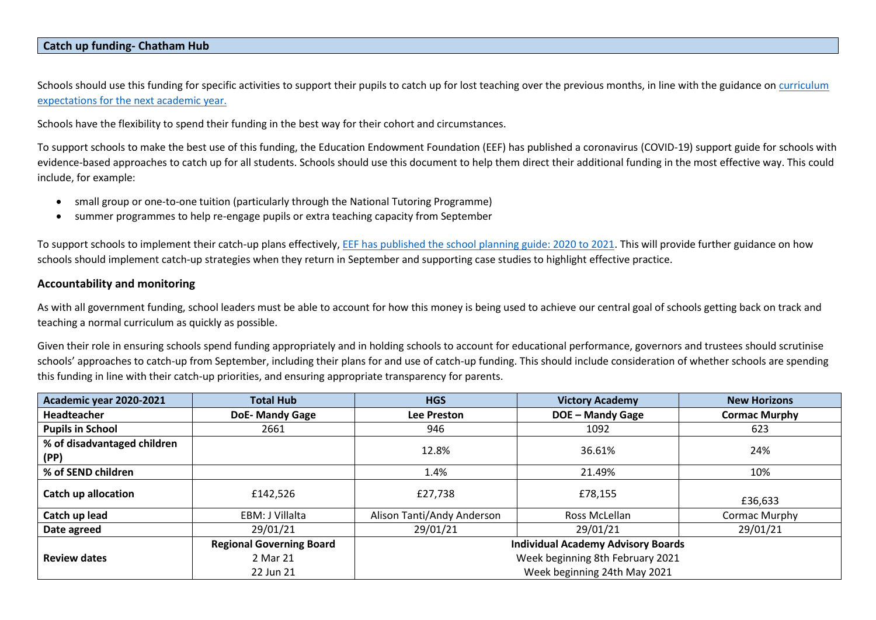#### **Catch up funding- Chatham Hub**

Schools should use this funding for specific activities to support their pupils to catch up for lost teaching over the previous months, in line with the guidance on curriculum [expectations for the next academic year.](mailto:https://www.gov.uk/government/publications/actions-for-schools-during-the-coronavirus-outbreak/guidance-for-full-opening-schools%23section-3-curriculum-behaviour-and-pastoral-support)

Schools have the flexibility to spend their funding in the best way for their cohort and circumstances.

To support schools to make the best use of this funding, the Education Endowment Foundation (EEF) has published a coronavirus (COVID-19) support guide for schools with evidence-based approaches to catch up for all students. Schools should use this document to help them direct their additional funding in the most effective way. This could include, for example:

- small group or one-to-one tuition (particularly through the National Tutoring Programme)
- summer programmes to help re-engage pupils or extra teaching capacity from September

To support schools to implement their catch-up plans effectively, [EEF has published the school planning guide: 2020 to 2021.](mailto:https://educationendowmentfoundation.org.uk/covid-19-resources/national-tutoring-programme/covid-19-support-guide-for-schools/%23nav-covid-19-support-guide-for-schools1) This will provide further guidance on how schools should implement catch-up strategies when they return in September and supporting case studies to highlight effective practice.

### **Accountability and monitoring**

As with all government funding, school leaders must be able to account for how this money is being used to achieve our central goal of schools getting back on track and teaching a normal curriculum as quickly as possible.

Given their role in ensuring schools spend funding appropriately and in holding schools to account for educational performance, governors and trustees should scrutinise schools' approaches to catch-up from September, including their plans for and use of catch-up funding. This should include consideration of whether schools are spending this funding in line with their catch-up priorities, and ensuring appropriate transparency for parents.

| Academic year 2020-2021             | <b>Total Hub</b>                | <b>HGS</b>                 | <b>Victory Academy</b>                    | <b>New Horizons</b>  |
|-------------------------------------|---------------------------------|----------------------------|-------------------------------------------|----------------------|
| <b>Headteacher</b>                  | <b>DoE-Mandy Gage</b>           | <b>Lee Preston</b>         | <b>DOE - Mandy Gage</b>                   | <b>Cormac Murphy</b> |
| <b>Pupils in School</b>             | 2661                            | 946                        | 1092                                      | 623                  |
| % of disadvantaged children<br>(PP) |                                 | 12.8%                      | 36.61%                                    | 24%                  |
| % of SEND children                  |                                 | 1.4%                       | 21.49%                                    | 10%                  |
| Catch up allocation                 | £142.526                        | £27,738                    | £78,155                                   | £36,633              |
| Catch up lead                       | EBM: J Villalta                 | Alison Tanti/Andy Anderson | Ross McLellan                             | Cormac Murphy        |
| Date agreed                         | 29/01/21                        | 29/01/21                   | 29/01/21                                  | 29/01/21             |
|                                     | <b>Regional Governing Board</b> |                            | <b>Individual Academy Advisory Boards</b> |                      |
| <b>Review dates</b>                 | 2 Mar 21                        |                            | Week beginning 8th February 2021          |                      |
|                                     | 22 Jun 21                       |                            | Week beginning 24th May 2021              |                      |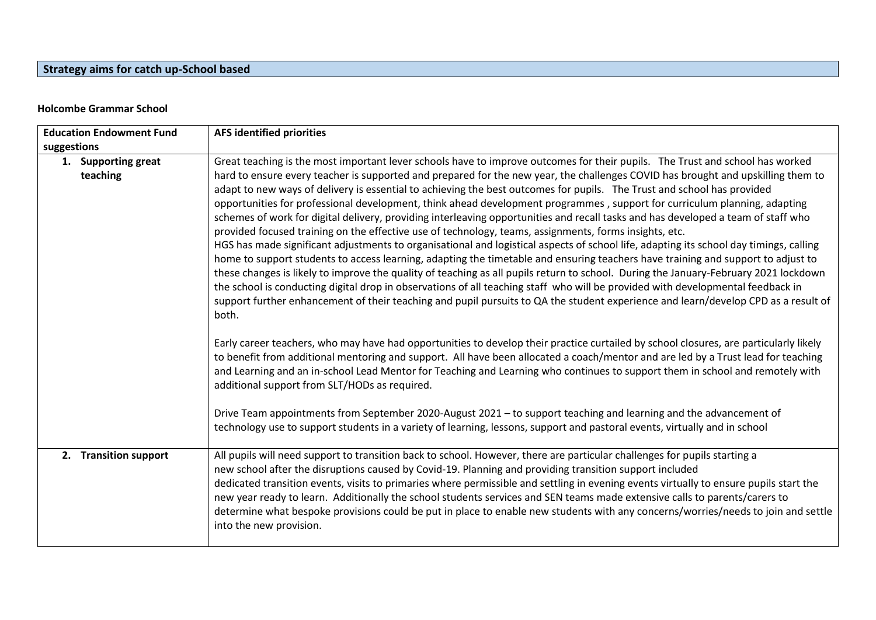# **Strategy aims for catch up-School based**

### **Holcombe Grammar School**

| <b>Education Endowment Fund</b> |                                 | <b>AFS identified priorities</b>                                                                                                                                                                                                                                                                                                                                                                                                                                                                                                                                                                                                                                                                                                                                                                                                                                                                                                                                                                                                                                                                                                                                                                                                                                                                                                                                                                                                                                                 |
|---------------------------------|---------------------------------|----------------------------------------------------------------------------------------------------------------------------------------------------------------------------------------------------------------------------------------------------------------------------------------------------------------------------------------------------------------------------------------------------------------------------------------------------------------------------------------------------------------------------------------------------------------------------------------------------------------------------------------------------------------------------------------------------------------------------------------------------------------------------------------------------------------------------------------------------------------------------------------------------------------------------------------------------------------------------------------------------------------------------------------------------------------------------------------------------------------------------------------------------------------------------------------------------------------------------------------------------------------------------------------------------------------------------------------------------------------------------------------------------------------------------------------------------------------------------------|
| suggestions                     |                                 |                                                                                                                                                                                                                                                                                                                                                                                                                                                                                                                                                                                                                                                                                                                                                                                                                                                                                                                                                                                                                                                                                                                                                                                                                                                                                                                                                                                                                                                                                  |
|                                 | 1. Supporting great<br>teaching | Great teaching is the most important lever schools have to improve outcomes for their pupils. The Trust and school has worked<br>hard to ensure every teacher is supported and prepared for the new year, the challenges COVID has brought and upskilling them to<br>adapt to new ways of delivery is essential to achieving the best outcomes for pupils. The Trust and school has provided<br>opportunities for professional development, think ahead development programmes, support for curriculum planning, adapting<br>schemes of work for digital delivery, providing interleaving opportunities and recall tasks and has developed a team of staff who<br>provided focused training on the effective use of technology, teams, assignments, forms insights, etc.<br>HGS has made significant adjustments to organisational and logistical aspects of school life, adapting its school day timings, calling<br>home to support students to access learning, adapting the timetable and ensuring teachers have training and support to adjust to<br>these changes is likely to improve the quality of teaching as all pupils return to school. During the January-February 2021 lockdown<br>the school is conducting digital drop in observations of all teaching staff who will be provided with developmental feedback in<br>support further enhancement of their teaching and pupil pursuits to QA the student experience and learn/develop CPD as a result of<br>both. |
|                                 |                                 | Early career teachers, who may have had opportunities to develop their practice curtailed by school closures, are particularly likely<br>to benefit from additional mentoring and support. All have been allocated a coach/mentor and are led by a Trust lead for teaching<br>and Learning and an in-school Lead Mentor for Teaching and Learning who continues to support them in school and remotely with<br>additional support from SLT/HODs as required.                                                                                                                                                                                                                                                                                                                                                                                                                                                                                                                                                                                                                                                                                                                                                                                                                                                                                                                                                                                                                     |
|                                 |                                 | Drive Team appointments from September 2020-August 2021 – to support teaching and learning and the advancement of<br>technology use to support students in a variety of learning, lessons, support and pastoral events, virtually and in school                                                                                                                                                                                                                                                                                                                                                                                                                                                                                                                                                                                                                                                                                                                                                                                                                                                                                                                                                                                                                                                                                                                                                                                                                                  |
|                                 | 2. Transition support           | All pupils will need support to transition back to school. However, there are particular challenges for pupils starting a<br>new school after the disruptions caused by Covid-19. Planning and providing transition support included<br>dedicated transition events, visits to primaries where permissible and settling in evening events virtually to ensure pupils start the<br>new year ready to learn. Additionally the school students services and SEN teams made extensive calls to parents/carers to<br>determine what bespoke provisions could be put in place to enable new students with any concerns/worries/needs to join and settle<br>into the new provision.                                                                                                                                                                                                                                                                                                                                                                                                                                                                                                                                                                                                                                                                                                                                                                                                     |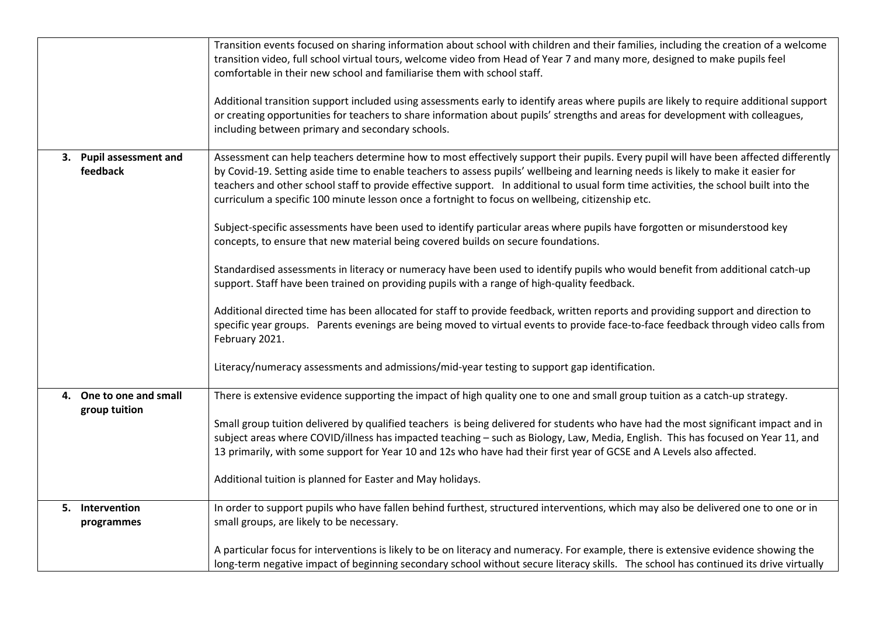|                                          | Transition events focused on sharing information about school with children and their families, including the creation of a welcome<br>transition video, full school virtual tours, welcome video from Head of Year 7 and many more, designed to make pupils feel<br>comfortable in their new school and familiarise them with school staff.<br>Additional transition support included using assessments early to identify areas where pupils are likely to require additional support                                |
|------------------------------------------|-----------------------------------------------------------------------------------------------------------------------------------------------------------------------------------------------------------------------------------------------------------------------------------------------------------------------------------------------------------------------------------------------------------------------------------------------------------------------------------------------------------------------|
|                                          | or creating opportunities for teachers to share information about pupils' strengths and areas for development with colleagues,<br>including between primary and secondary schools.                                                                                                                                                                                                                                                                                                                                    |
| 3. Pupil assessment and<br>feedback      | Assessment can help teachers determine how to most effectively support their pupils. Every pupil will have been affected differently<br>by Covid-19. Setting aside time to enable teachers to assess pupils' wellbeing and learning needs is likely to make it easier for<br>teachers and other school staff to provide effective support. In additional to usual form time activities, the school built into the<br>curriculum a specific 100 minute lesson once a fortnight to focus on wellbeing, citizenship etc. |
|                                          | Subject-specific assessments have been used to identify particular areas where pupils have forgotten or misunderstood key<br>concepts, to ensure that new material being covered builds on secure foundations.                                                                                                                                                                                                                                                                                                        |
|                                          | Standardised assessments in literacy or numeracy have been used to identify pupils who would benefit from additional catch-up<br>support. Staff have been trained on providing pupils with a range of high-quality feedback.                                                                                                                                                                                                                                                                                          |
|                                          | Additional directed time has been allocated for staff to provide feedback, written reports and providing support and direction to<br>specific year groups. Parents evenings are being moved to virtual events to provide face-to-face feedback through video calls from<br>February 2021.                                                                                                                                                                                                                             |
|                                          | Literacy/numeracy assessments and admissions/mid-year testing to support gap identification.                                                                                                                                                                                                                                                                                                                                                                                                                          |
| 4. One to one and small<br>group tuition | There is extensive evidence supporting the impact of high quality one to one and small group tuition as a catch-up strategy.                                                                                                                                                                                                                                                                                                                                                                                          |
|                                          | Small group tuition delivered by qualified teachers is being delivered for students who have had the most significant impact and in<br>subject areas where COVID/illness has impacted teaching - such as Biology, Law, Media, English. This has focused on Year 11, and<br>13 primarily, with some support for Year 10 and 12s who have had their first year of GCSE and A Levels also affected.                                                                                                                      |
|                                          | Additional tuition is planned for Easter and May holidays.                                                                                                                                                                                                                                                                                                                                                                                                                                                            |
| 5. Intervention<br>programmes            | In order to support pupils who have fallen behind furthest, structured interventions, which may also be delivered one to one or in<br>small groups, are likely to be necessary.                                                                                                                                                                                                                                                                                                                                       |
|                                          | A particular focus for interventions is likely to be on literacy and numeracy. For example, there is extensive evidence showing the<br>long-term negative impact of beginning secondary school without secure literacy skills. The school has continued its drive virtually                                                                                                                                                                                                                                           |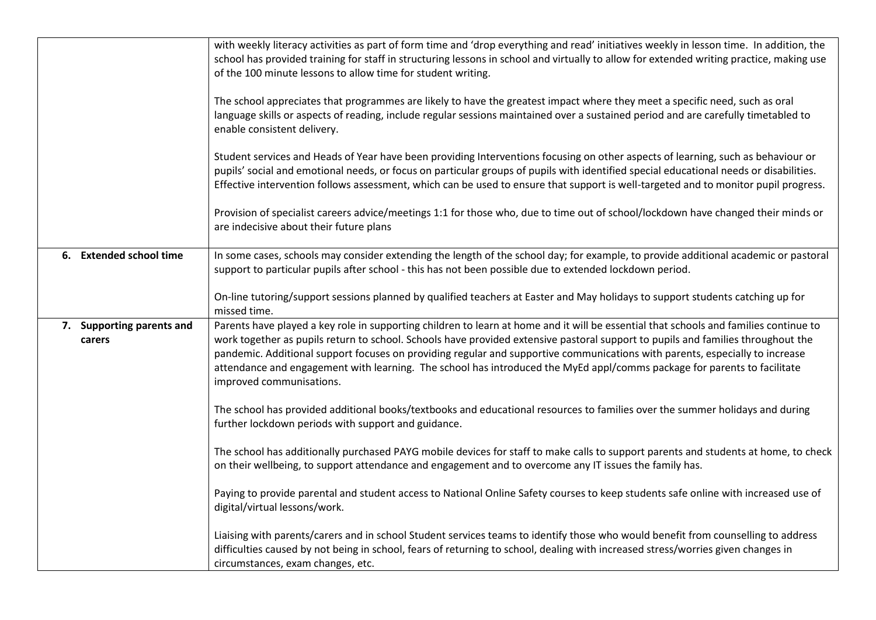|                                     | with weekly literacy activities as part of form time and 'drop everything and read' initiatives weekly in lesson time. In addition, the<br>school has provided training for staff in structuring lessons in school and virtually to allow for extended writing practice, making use<br>of the 100 minute lessons to allow time for student writing.<br>The school appreciates that programmes are likely to have the greatest impact where they meet a specific need, such as oral<br>language skills or aspects of reading, include regular sessions maintained over a sustained period and are carefully timetabled to<br>enable consistent delivery. |
|-------------------------------------|---------------------------------------------------------------------------------------------------------------------------------------------------------------------------------------------------------------------------------------------------------------------------------------------------------------------------------------------------------------------------------------------------------------------------------------------------------------------------------------------------------------------------------------------------------------------------------------------------------------------------------------------------------|
|                                     | Student services and Heads of Year have been providing Interventions focusing on other aspects of learning, such as behaviour or<br>pupils' social and emotional needs, or focus on particular groups of pupils with identified special educational needs or disabilities.<br>Effective intervention follows assessment, which can be used to ensure that support is well-targeted and to monitor pupil progress.                                                                                                                                                                                                                                       |
|                                     | Provision of specialist careers advice/meetings 1:1 for those who, due to time out of school/lockdown have changed their minds or<br>are indecisive about their future plans                                                                                                                                                                                                                                                                                                                                                                                                                                                                            |
| 6. Extended school time             | In some cases, schools may consider extending the length of the school day; for example, to provide additional academic or pastoral<br>support to particular pupils after school - this has not been possible due to extended lockdown period.                                                                                                                                                                                                                                                                                                                                                                                                          |
|                                     | On-line tutoring/support sessions planned by qualified teachers at Easter and May holidays to support students catching up for<br>missed time.                                                                                                                                                                                                                                                                                                                                                                                                                                                                                                          |
| 7. Supporting parents and<br>carers | Parents have played a key role in supporting children to learn at home and it will be essential that schools and families continue to<br>work together as pupils return to school. Schools have provided extensive pastoral support to pupils and families throughout the<br>pandemic. Additional support focuses on providing regular and supportive communications with parents, especially to increase<br>attendance and engagement with learning. The school has introduced the MyEd appl/comms package for parents to facilitate<br>improved communisations.                                                                                       |
|                                     | The school has provided additional books/textbooks and educational resources to families over the summer holidays and during<br>further lockdown periods with support and guidance.                                                                                                                                                                                                                                                                                                                                                                                                                                                                     |
|                                     | The school has additionally purchased PAYG mobile devices for staff to make calls to support parents and students at home, to check<br>on their wellbeing, to support attendance and engagement and to overcome any IT issues the family has.                                                                                                                                                                                                                                                                                                                                                                                                           |
|                                     | Paying to provide parental and student access to National Online Safety courses to keep students safe online with increased use of<br>digital/virtual lessons/work.                                                                                                                                                                                                                                                                                                                                                                                                                                                                                     |
|                                     | Liaising with parents/carers and in school Student services teams to identify those who would benefit from counselling to address<br>difficulties caused by not being in school, fears of returning to school, dealing with increased stress/worries given changes in<br>circumstances, exam changes, etc.                                                                                                                                                                                                                                                                                                                                              |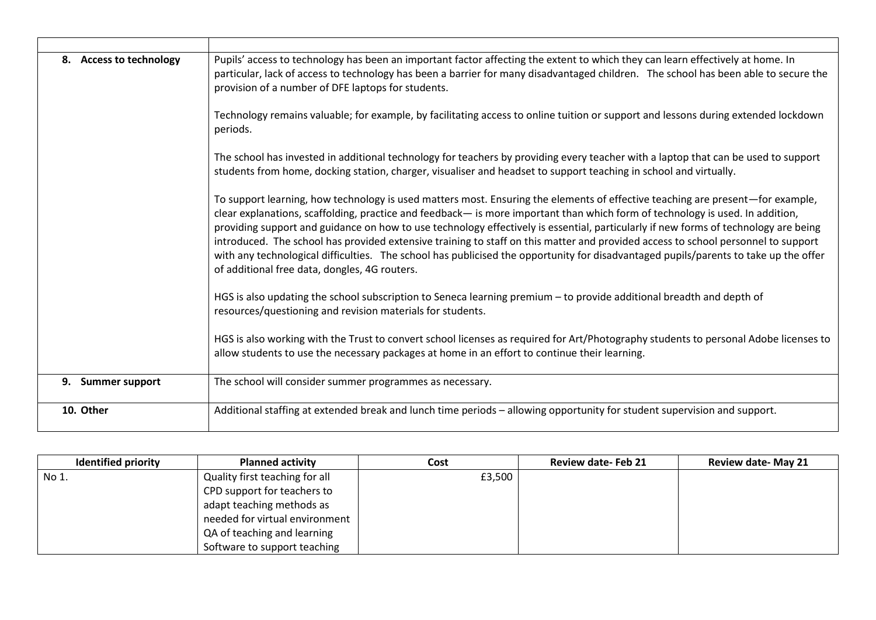| 8. Access to technology | Pupils' access to technology has been an important factor affecting the extent to which they can learn effectively at home. In<br>particular, lack of access to technology has been a barrier for many disadvantaged children. The school has been able to secure the<br>provision of a number of DFE laptops for students.                                                                                                                                                                                                                                                                                                                                                                                                          |
|-------------------------|--------------------------------------------------------------------------------------------------------------------------------------------------------------------------------------------------------------------------------------------------------------------------------------------------------------------------------------------------------------------------------------------------------------------------------------------------------------------------------------------------------------------------------------------------------------------------------------------------------------------------------------------------------------------------------------------------------------------------------------|
|                         | Technology remains valuable; for example, by facilitating access to online tuition or support and lessons during extended lockdown<br>periods.                                                                                                                                                                                                                                                                                                                                                                                                                                                                                                                                                                                       |
|                         | The school has invested in additional technology for teachers by providing every teacher with a laptop that can be used to support<br>students from home, docking station, charger, visualiser and headset to support teaching in school and virtually.                                                                                                                                                                                                                                                                                                                                                                                                                                                                              |
|                         | To support learning, how technology is used matters most. Ensuring the elements of effective teaching are present—for example,<br>clear explanations, scaffolding, practice and feedback— is more important than which form of technology is used. In addition,<br>providing support and guidance on how to use technology effectively is essential, particularly if new forms of technology are being<br>introduced. The school has provided extensive training to staff on this matter and provided access to school personnel to support<br>with any technological difficulties. The school has publicised the opportunity for disadvantaged pupils/parents to take up the offer<br>of additional free data, dongles, 4G routers. |
|                         | HGS is also updating the school subscription to Seneca learning premium - to provide additional breadth and depth of<br>resources/questioning and revision materials for students.                                                                                                                                                                                                                                                                                                                                                                                                                                                                                                                                                   |
|                         | HGS is also working with the Trust to convert school licenses as required for Art/Photography students to personal Adobe licenses to<br>allow students to use the necessary packages at home in an effort to continue their learning.                                                                                                                                                                                                                                                                                                                                                                                                                                                                                                |
| 9. Summer support       | The school will consider summer programmes as necessary.                                                                                                                                                                                                                                                                                                                                                                                                                                                                                                                                                                                                                                                                             |
| 10. Other               | Additional staffing at extended break and lunch time periods - allowing opportunity for student supervision and support.                                                                                                                                                                                                                                                                                                                                                                                                                                                                                                                                                                                                             |

| <b>Identified priority</b> | <b>Planned activity</b>        | Cost   | <b>Review date-Feb 21</b> | <b>Review date- May 21</b> |
|----------------------------|--------------------------------|--------|---------------------------|----------------------------|
| No 1.                      | Quality first teaching for all | £3,500 |                           |                            |
|                            | CPD support for teachers to    |        |                           |                            |
|                            | adapt teaching methods as      |        |                           |                            |
|                            | needed for virtual environment |        |                           |                            |
|                            | QA of teaching and learning    |        |                           |                            |
|                            | Software to support teaching   |        |                           |                            |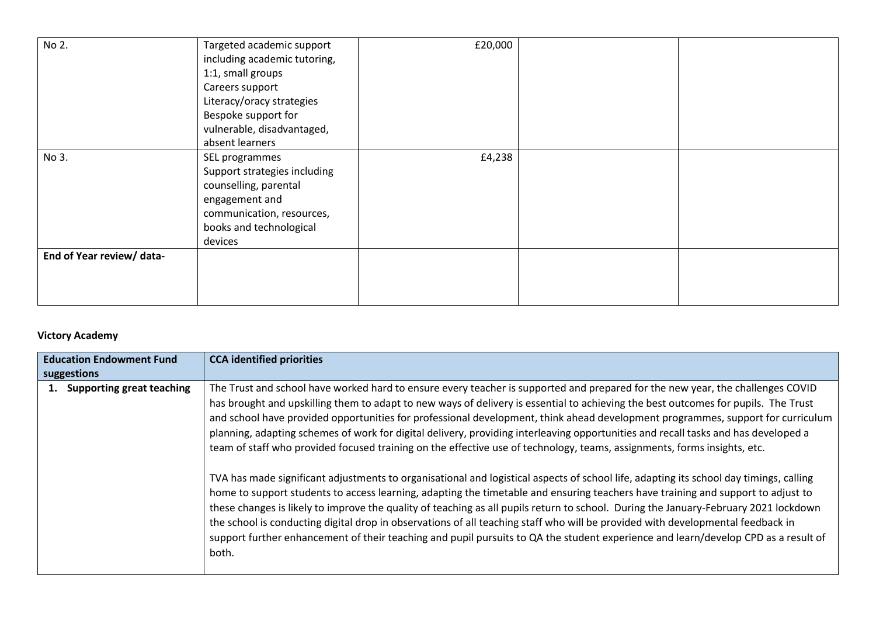| No 2.                     | Targeted academic support<br>including academic tutoring, | £20,000 |  |
|---------------------------|-----------------------------------------------------------|---------|--|
|                           | 1:1, small groups                                         |         |  |
|                           | Careers support                                           |         |  |
|                           | Literacy/oracy strategies                                 |         |  |
|                           | Bespoke support for                                       |         |  |
|                           | vulnerable, disadvantaged,                                |         |  |
|                           | absent learners                                           |         |  |
| No 3.                     | SEL programmes                                            | £4,238  |  |
|                           | Support strategies including                              |         |  |
|                           | counselling, parental                                     |         |  |
|                           | engagement and                                            |         |  |
|                           | communication, resources,                                 |         |  |
|                           | books and technological                                   |         |  |
|                           | devices                                                   |         |  |
| End of Year review/ data- |                                                           |         |  |
|                           |                                                           |         |  |
|                           |                                                           |         |  |
|                           |                                                           |         |  |

## **Victory Academy**

| <b>Education Endowment Fund</b> |                                  | <b>CCA identified priorities</b>                                                                                                                                                                                                                                                                                                                                                                                                                                                                                                                                                                                                                                                                                                                                                                                                                                                                                                                                                                                                                                                                                                                                                                                                                                                                                                                                                  |  |  |
|---------------------------------|----------------------------------|-----------------------------------------------------------------------------------------------------------------------------------------------------------------------------------------------------------------------------------------------------------------------------------------------------------------------------------------------------------------------------------------------------------------------------------------------------------------------------------------------------------------------------------------------------------------------------------------------------------------------------------------------------------------------------------------------------------------------------------------------------------------------------------------------------------------------------------------------------------------------------------------------------------------------------------------------------------------------------------------------------------------------------------------------------------------------------------------------------------------------------------------------------------------------------------------------------------------------------------------------------------------------------------------------------------------------------------------------------------------------------------|--|--|
|                                 | suggestions                      |                                                                                                                                                                                                                                                                                                                                                                                                                                                                                                                                                                                                                                                                                                                                                                                                                                                                                                                                                                                                                                                                                                                                                                                                                                                                                                                                                                                   |  |  |
| 1.                              | <b>Supporting great teaching</b> | The Trust and school have worked hard to ensure every teacher is supported and prepared for the new year, the challenges COVID<br>has brought and upskilling them to adapt to new ways of delivery is essential to achieving the best outcomes for pupils. The Trust<br>and school have provided opportunities for professional development, think ahead development programmes, support for curriculum<br>planning, adapting schemes of work for digital delivery, providing interleaving opportunities and recall tasks and has developed a<br>team of staff who provided focused training on the effective use of technology, teams, assignments, forms insights, etc.<br>TVA has made significant adjustments to organisational and logistical aspects of school life, adapting its school day timings, calling<br>home to support students to access learning, adapting the timetable and ensuring teachers have training and support to adjust to<br>these changes is likely to improve the quality of teaching as all pupils return to school. During the January-February 2021 lockdown<br>the school is conducting digital drop in observations of all teaching staff who will be provided with developmental feedback in<br>support further enhancement of their teaching and pupil pursuits to QA the student experience and learn/develop CPD as a result of<br>both. |  |  |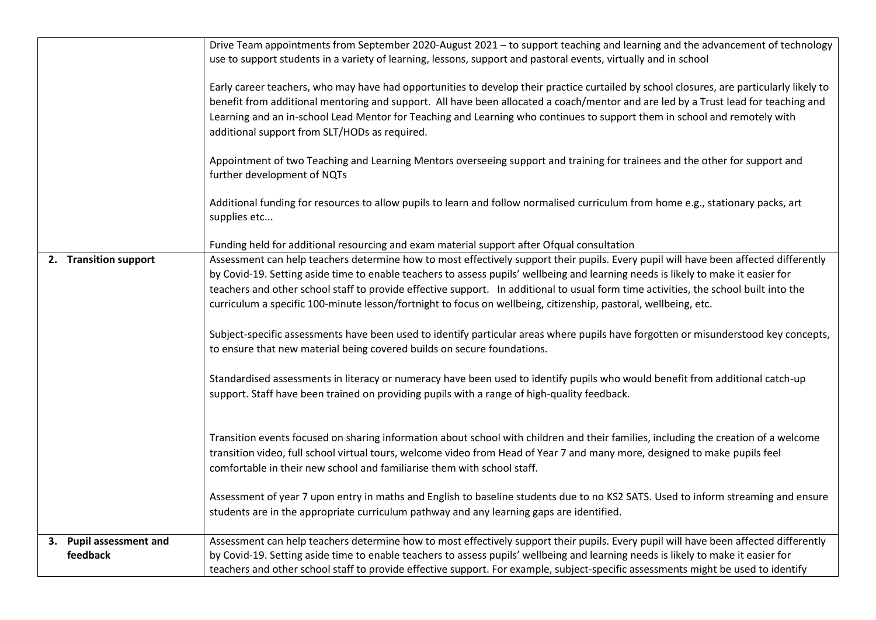|                         | Drive Team appointments from September 2020-August 2021 – to support teaching and learning and the advancement of technology<br>use to support students in a variety of learning, lessons, support and pastoral events, virtually and in school                                                                                                                                                                                                                                                                                      |
|-------------------------|--------------------------------------------------------------------------------------------------------------------------------------------------------------------------------------------------------------------------------------------------------------------------------------------------------------------------------------------------------------------------------------------------------------------------------------------------------------------------------------------------------------------------------------|
|                         | Early career teachers, who may have had opportunities to develop their practice curtailed by school closures, are particularly likely to<br>benefit from additional mentoring and support. All have been allocated a coach/mentor and are led by a Trust lead for teaching and<br>Learning and an in-school Lead Mentor for Teaching and Learning who continues to support them in school and remotely with<br>additional support from SLT/HODs as required.                                                                         |
|                         | Appointment of two Teaching and Learning Mentors overseeing support and training for trainees and the other for support and<br>further development of NQTs                                                                                                                                                                                                                                                                                                                                                                           |
|                         | Additional funding for resources to allow pupils to learn and follow normalised curriculum from home e.g., stationary packs, art<br>supplies etc                                                                                                                                                                                                                                                                                                                                                                                     |
|                         | Funding held for additional resourcing and exam material support after Ofqual consultation                                                                                                                                                                                                                                                                                                                                                                                                                                           |
| 2. Transition support   | Assessment can help teachers determine how to most effectively support their pupils. Every pupil will have been affected differently<br>by Covid-19. Setting aside time to enable teachers to assess pupils' wellbeing and learning needs is likely to make it easier for<br>teachers and other school staff to provide effective support. In additional to usual form time activities, the school built into the<br>curriculum a specific 100-minute lesson/fortnight to focus on wellbeing, citizenship, pastoral, wellbeing, etc. |
|                         | Subject-specific assessments have been used to identify particular areas where pupils have forgotten or misunderstood key concepts,<br>to ensure that new material being covered builds on secure foundations.                                                                                                                                                                                                                                                                                                                       |
|                         | Standardised assessments in literacy or numeracy have been used to identify pupils who would benefit from additional catch-up<br>support. Staff have been trained on providing pupils with a range of high-quality feedback.                                                                                                                                                                                                                                                                                                         |
|                         | Transition events focused on sharing information about school with children and their families, including the creation of a welcome<br>transition video, full school virtual tours, welcome video from Head of Year 7 and many more, designed to make pupils feel<br>comfortable in their new school and familiarise them with school staff.                                                                                                                                                                                         |
|                         | Assessment of year 7 upon entry in maths and English to baseline students due to no KS2 SATS. Used to inform streaming and ensure<br>students are in the appropriate curriculum pathway and any learning gaps are identified.                                                                                                                                                                                                                                                                                                        |
| 3. Pupil assessment and | Assessment can help teachers determine how to most effectively support their pupils. Every pupil will have been affected differently                                                                                                                                                                                                                                                                                                                                                                                                 |
| feedback                | by Covid-19. Setting aside time to enable teachers to assess pupils' wellbeing and learning needs is likely to make it easier for<br>teachers and other school staff to provide effective support. For example, subject-specific assessments might be used to identify                                                                                                                                                                                                                                                               |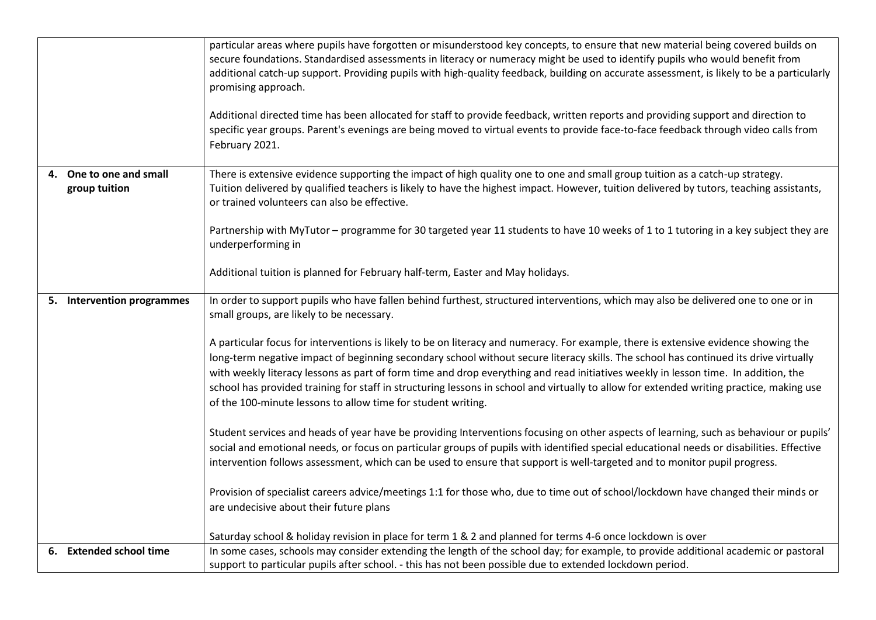|                                          | particular areas where pupils have forgotten or misunderstood key concepts, to ensure that new material being covered builds on<br>secure foundations. Standardised assessments in literacy or numeracy might be used to identify pupils who would benefit from<br>additional catch-up support. Providing pupils with high-quality feedback, building on accurate assessment, is likely to be a particularly<br>promising approach.<br>Additional directed time has been allocated for staff to provide feedback, written reports and providing support and direction to<br>specific year groups. Parent's evenings are being moved to virtual events to provide face-to-face feedback through video calls from<br>February 2021.                                                                                                                                                                                                                                                                                                                                                                                                                                                                                                                                                                                                                                                                                                                                                                                                 |
|------------------------------------------|-----------------------------------------------------------------------------------------------------------------------------------------------------------------------------------------------------------------------------------------------------------------------------------------------------------------------------------------------------------------------------------------------------------------------------------------------------------------------------------------------------------------------------------------------------------------------------------------------------------------------------------------------------------------------------------------------------------------------------------------------------------------------------------------------------------------------------------------------------------------------------------------------------------------------------------------------------------------------------------------------------------------------------------------------------------------------------------------------------------------------------------------------------------------------------------------------------------------------------------------------------------------------------------------------------------------------------------------------------------------------------------------------------------------------------------------------------------------------------------------------------------------------------------|
| 4. One to one and small<br>group tuition | There is extensive evidence supporting the impact of high quality one to one and small group tuition as a catch-up strategy.<br>Tuition delivered by qualified teachers is likely to have the highest impact. However, tuition delivered by tutors, teaching assistants,<br>or trained volunteers can also be effective.<br>Partnership with MyTutor - programme for 30 targeted year 11 students to have 10 weeks of 1 to 1 tutoring in a key subject they are<br>underperforming in<br>Additional tuition is planned for February half-term, Easter and May holidays.                                                                                                                                                                                                                                                                                                                                                                                                                                                                                                                                                                                                                                                                                                                                                                                                                                                                                                                                                           |
| 5. Intervention programmes               | In order to support pupils who have fallen behind furthest, structured interventions, which may also be delivered one to one or in<br>small groups, are likely to be necessary.<br>A particular focus for interventions is likely to be on literacy and numeracy. For example, there is extensive evidence showing the<br>long-term negative impact of beginning secondary school without secure literacy skills. The school has continued its drive virtually<br>with weekly literacy lessons as part of form time and drop everything and read initiatives weekly in lesson time. In addition, the<br>school has provided training for staff in structuring lessons in school and virtually to allow for extended writing practice, making use<br>of the 100-minute lessons to allow time for student writing.<br>Student services and heads of year have be providing Interventions focusing on other aspects of learning, such as behaviour or pupils'<br>social and emotional needs, or focus on particular groups of pupils with identified special educational needs or disabilities. Effective<br>intervention follows assessment, which can be used to ensure that support is well-targeted and to monitor pupil progress.<br>Provision of specialist careers advice/meetings 1:1 for those who, due to time out of school/lockdown have changed their minds or<br>are undecisive about their future plans<br>Saturday school & holiday revision in place for term 1 & 2 and planned for terms 4-6 once lockdown is over |
| 6. Extended school time                  | In some cases, schools may consider extending the length of the school day; for example, to provide additional academic or pastoral<br>support to particular pupils after school. - this has not been possible due to extended lockdown period.                                                                                                                                                                                                                                                                                                                                                                                                                                                                                                                                                                                                                                                                                                                                                                                                                                                                                                                                                                                                                                                                                                                                                                                                                                                                                   |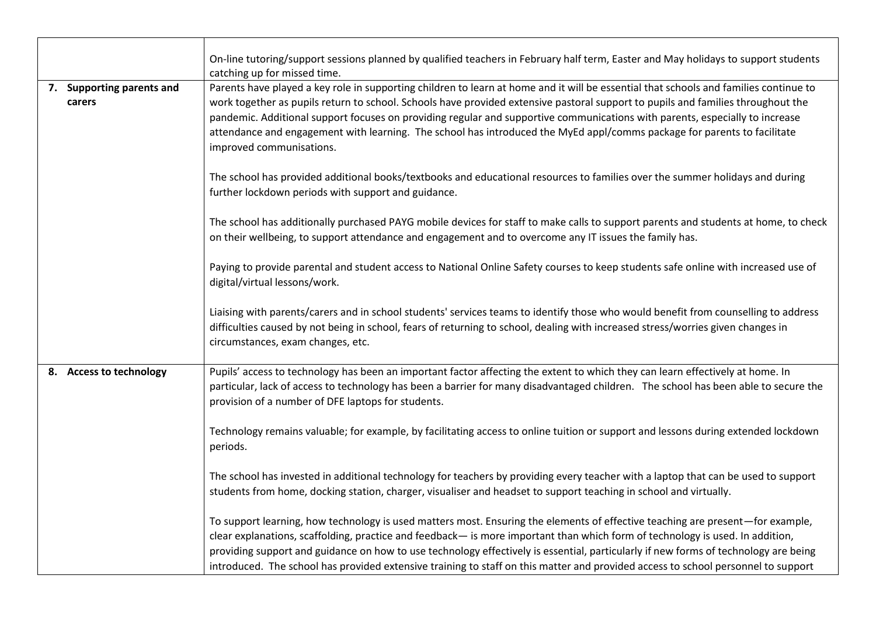|                                     | On-line tutoring/support sessions planned by qualified teachers in February half term, Easter and May holidays to support students<br>catching up for missed time.                                                                                                                                                                                                                                                                                                                                                                                                |
|-------------------------------------|-------------------------------------------------------------------------------------------------------------------------------------------------------------------------------------------------------------------------------------------------------------------------------------------------------------------------------------------------------------------------------------------------------------------------------------------------------------------------------------------------------------------------------------------------------------------|
| 7. Supporting parents and<br>carers | Parents have played a key role in supporting children to learn at home and it will be essential that schools and families continue to<br>work together as pupils return to school. Schools have provided extensive pastoral support to pupils and families throughout the<br>pandemic. Additional support focuses on providing regular and supportive communications with parents, especially to increase<br>attendance and engagement with learning. The school has introduced the MyEd appl/comms package for parents to facilitate<br>improved communisations. |
|                                     | The school has provided additional books/textbooks and educational resources to families over the summer holidays and during<br>further lockdown periods with support and guidance.                                                                                                                                                                                                                                                                                                                                                                               |
|                                     | The school has additionally purchased PAYG mobile devices for staff to make calls to support parents and students at home, to check<br>on their wellbeing, to support attendance and engagement and to overcome any IT issues the family has.                                                                                                                                                                                                                                                                                                                     |
|                                     | Paying to provide parental and student access to National Online Safety courses to keep students safe online with increased use of<br>digital/virtual lessons/work.                                                                                                                                                                                                                                                                                                                                                                                               |
|                                     | Liaising with parents/carers and in school students' services teams to identify those who would benefit from counselling to address<br>difficulties caused by not being in school, fears of returning to school, dealing with increased stress/worries given changes in<br>circumstances, exam changes, etc.                                                                                                                                                                                                                                                      |
| 8. Access to technology             | Pupils' access to technology has been an important factor affecting the extent to which they can learn effectively at home. In<br>particular, lack of access to technology has been a barrier for many disadvantaged children. The school has been able to secure the<br>provision of a number of DFE laptops for students.                                                                                                                                                                                                                                       |
|                                     | Technology remains valuable; for example, by facilitating access to online tuition or support and lessons during extended lockdown<br>periods.                                                                                                                                                                                                                                                                                                                                                                                                                    |
|                                     | The school has invested in additional technology for teachers by providing every teacher with a laptop that can be used to support<br>students from home, docking station, charger, visualiser and headset to support teaching in school and virtually.                                                                                                                                                                                                                                                                                                           |
|                                     | To support learning, how technology is used matters most. Ensuring the elements of effective teaching are present-for example,<br>clear explanations, scaffolding, practice and feedback- is more important than which form of technology is used. In addition,<br>providing support and guidance on how to use technology effectively is essential, particularly if new forms of technology are being<br>introduced. The school has provided extensive training to staff on this matter and provided access to school personnel to support                       |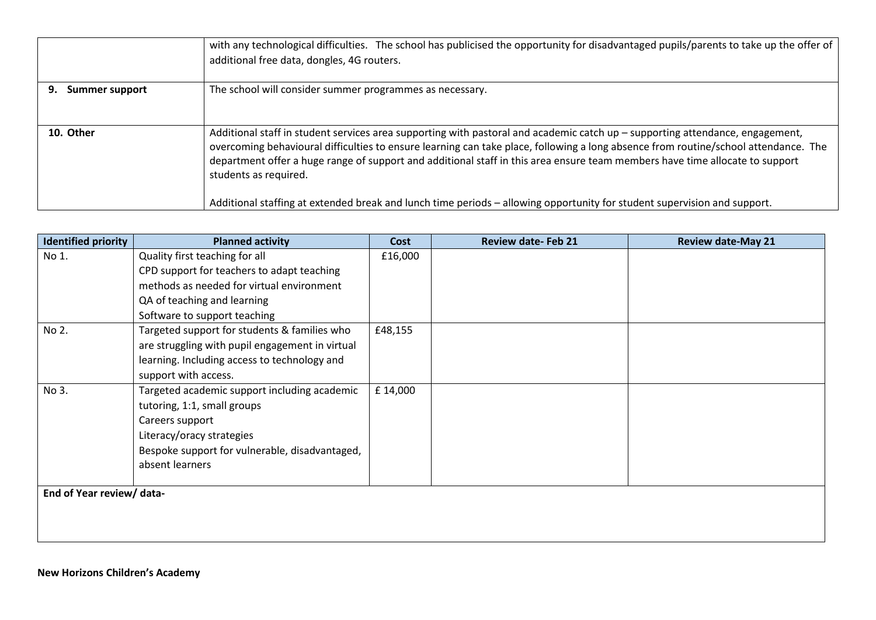|                             | with any technological difficulties. The school has publicised the opportunity for disadvantaged pupils/parents to take up the offer of<br>additional free data, dongles, 4G routers.                                                                                                                                                                                                                                                                                                                                                                     |
|-----------------------------|-----------------------------------------------------------------------------------------------------------------------------------------------------------------------------------------------------------------------------------------------------------------------------------------------------------------------------------------------------------------------------------------------------------------------------------------------------------------------------------------------------------------------------------------------------------|
| 9.<br><b>Summer support</b> | The school will consider summer programmes as necessary.                                                                                                                                                                                                                                                                                                                                                                                                                                                                                                  |
| 10. Other                   | Additional staff in student services area supporting with pastoral and academic catch up - supporting attendance, engagement,<br>overcoming behavioural difficulties to ensure learning can take place, following a long absence from routine/school attendance. The<br>department offer a huge range of support and additional staff in this area ensure team members have time allocate to support<br>students as required.<br>Additional staffing at extended break and lunch time periods - allowing opportunity for student supervision and support. |

| <b>Identified priority</b> | <b>Planned activity</b>                         | Cost    | <b>Review date-Feb 21</b> | <b>Review date-May 21</b> |
|----------------------------|-------------------------------------------------|---------|---------------------------|---------------------------|
| No 1.                      | Quality first teaching for all                  | £16,000 |                           |                           |
|                            | CPD support for teachers to adapt teaching      |         |                           |                           |
|                            | methods as needed for virtual environment       |         |                           |                           |
|                            | QA of teaching and learning                     |         |                           |                           |
|                            | Software to support teaching                    |         |                           |                           |
| No 2.                      | Targeted support for students & families who    | £48,155 |                           |                           |
|                            | are struggling with pupil engagement in virtual |         |                           |                           |
|                            | learning. Including access to technology and    |         |                           |                           |
|                            | support with access.                            |         |                           |                           |
| No 3.                      | Targeted academic support including academic    | £14,000 |                           |                           |
|                            | tutoring, 1:1, small groups                     |         |                           |                           |
|                            | Careers support                                 |         |                           |                           |
|                            | Literacy/oracy strategies                       |         |                           |                           |
|                            | Bespoke support for vulnerable, disadvantaged,  |         |                           |                           |
|                            | absent learners                                 |         |                           |                           |
|                            |                                                 |         |                           |                           |
| End of Year review/ data-  |                                                 |         |                           |                           |
|                            |                                                 |         |                           |                           |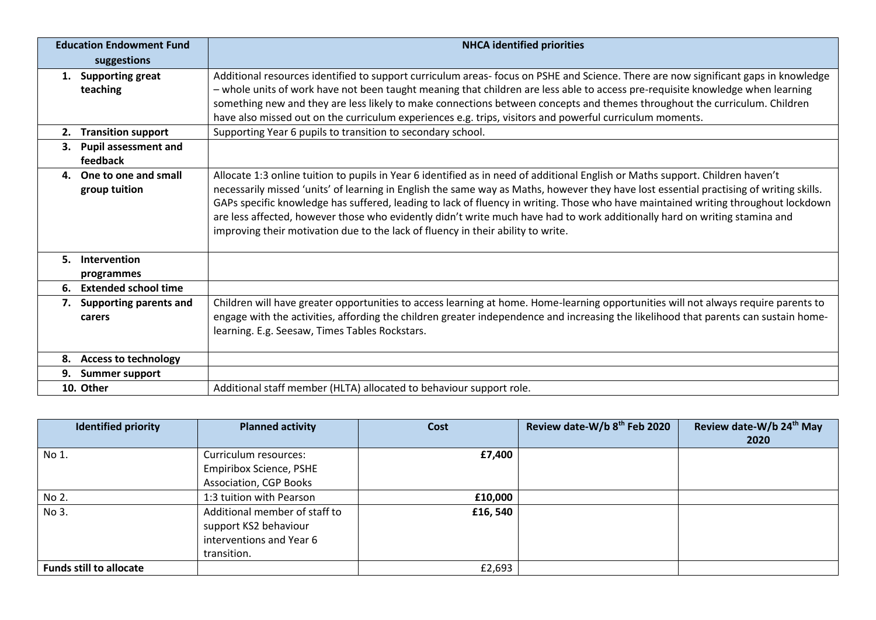| <b>Education Endowment Fund</b> |                                          | <b>NHCA identified priorities</b>                                                                                                                                                                                                                                                                                                                                                                                                                                                                                                                                                                                                 |  |  |  |
|---------------------------------|------------------------------------------|-----------------------------------------------------------------------------------------------------------------------------------------------------------------------------------------------------------------------------------------------------------------------------------------------------------------------------------------------------------------------------------------------------------------------------------------------------------------------------------------------------------------------------------------------------------------------------------------------------------------------------------|--|--|--|
|                                 | suggestions                              |                                                                                                                                                                                                                                                                                                                                                                                                                                                                                                                                                                                                                                   |  |  |  |
|                                 | 1. Supporting great<br>teaching          | Additional resources identified to support curriculum areas- focus on PSHE and Science. There are now significant gaps in knowledge<br>- whole units of work have not been taught meaning that children are less able to access pre-requisite knowledge when learning<br>something new and they are less likely to make connections between concepts and themes throughout the curriculum. Children<br>have also missed out on the curriculum experiences e.g. trips, visitors and powerful curriculum moments.                                                                                                                   |  |  |  |
| 2.                              | <b>Transition support</b>                | Supporting Year 6 pupils to transition to secondary school.                                                                                                                                                                                                                                                                                                                                                                                                                                                                                                                                                                       |  |  |  |
| 3.                              | <b>Pupil assessment and</b><br>feedback  |                                                                                                                                                                                                                                                                                                                                                                                                                                                                                                                                                                                                                                   |  |  |  |
|                                 | 4. One to one and small<br>group tuition | Allocate 1:3 online tuition to pupils in Year 6 identified as in need of additional English or Maths support. Children haven't<br>necessarily missed 'units' of learning in English the same way as Maths, however they have lost essential practising of writing skills.<br>GAPs specific knowledge has suffered, leading to lack of fluency in writing. Those who have maintained writing throughout lockdown<br>are less affected, however those who evidently didn't write much have had to work additionally hard on writing stamina and<br>improving their motivation due to the lack of fluency in their ability to write. |  |  |  |
| 5.                              | Intervention<br>programmes               |                                                                                                                                                                                                                                                                                                                                                                                                                                                                                                                                                                                                                                   |  |  |  |
| 6.                              | <b>Extended school time</b>              |                                                                                                                                                                                                                                                                                                                                                                                                                                                                                                                                                                                                                                   |  |  |  |
|                                 | 7. Supporting parents and<br>carers      | Children will have greater opportunities to access learning at home. Home-learning opportunities will not always require parents to<br>engage with the activities, affording the children greater independence and increasing the likelihood that parents can sustain home-<br>learning. E.g. Seesaw, Times Tables Rockstars.                                                                                                                                                                                                                                                                                                     |  |  |  |
| 8.                              | <b>Access to technology</b>              |                                                                                                                                                                                                                                                                                                                                                                                                                                                                                                                                                                                                                                   |  |  |  |
|                                 | 9. Summer support                        |                                                                                                                                                                                                                                                                                                                                                                                                                                                                                                                                                                                                                                   |  |  |  |
|                                 | 10. Other                                | Additional staff member (HLTA) allocated to behaviour support role.                                                                                                                                                                                                                                                                                                                                                                                                                                                                                                                                                               |  |  |  |

| <b>Identified priority</b>     | <b>Planned activity</b>        | Cost     | Review date-W/b 8th Feb 2020 | Review date-W/b 24th May |
|--------------------------------|--------------------------------|----------|------------------------------|--------------------------|
|                                |                                |          |                              | 2020                     |
| $N$ o 1.                       | Curriculum resources:          | £7,400   |                              |                          |
|                                | <b>Empiribox Science, PSHE</b> |          |                              |                          |
|                                | <b>Association, CGP Books</b>  |          |                              |                          |
| No 2.                          | 1:3 tuition with Pearson       | £10,000  |                              |                          |
| $No$ 3.                        | Additional member of staff to  | £16, 540 |                              |                          |
|                                | support KS2 behaviour          |          |                              |                          |
|                                | interventions and Year 6       |          |                              |                          |
|                                | transition.                    |          |                              |                          |
| <b>Funds still to allocate</b> |                                | £2,693   |                              |                          |